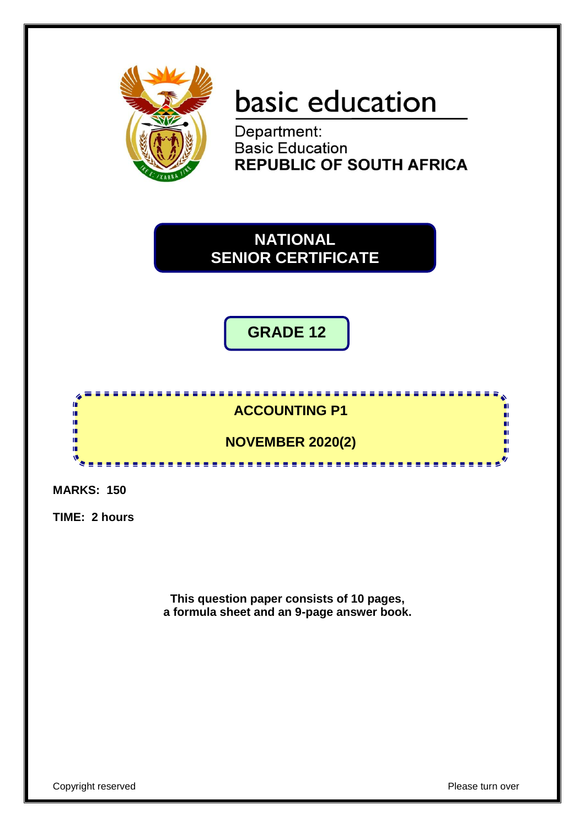

# basic education

Department: **Basic Education REPUBLIC OF SOUTH AFRICA** 

**NATIONAL SENIOR CERTIFICATE**

**GRADE 12**

# <u>. . . . . . . . . . .</u> **ACCOUNTING P1**

**NOVEMBER 2020(2)**

<u>.............</u>

**MARKS: 150**

ı. ı.

ú. 'n 'n

**TIME: 2 hours**

**This question paper consists of 10 pages, a formula sheet and an 9-page answer book.**

n.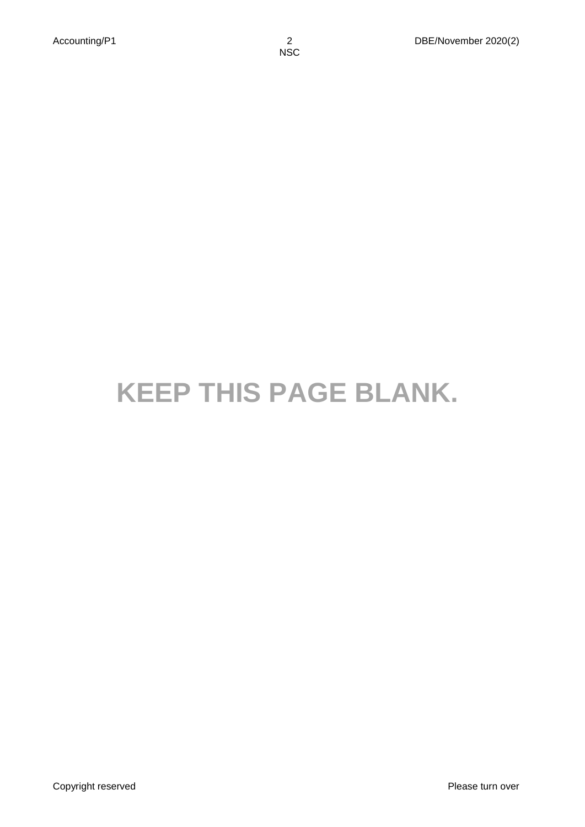# **KEEP THIS PAGE BLANK.**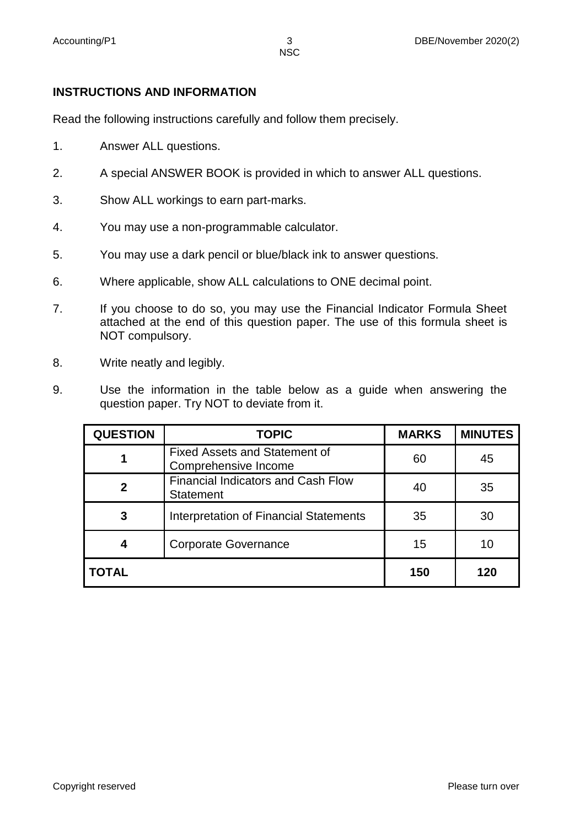### **INSTRUCTIONS AND INFORMATION**

Read the following instructions carefully and follow them precisely.

- 1. Answer ALL questions.
- 2. A special ANSWER BOOK is provided in which to answer ALL questions.
- 3. Show ALL workings to earn part-marks.
- 4. You may use a non-programmable calculator.
- 5. You may use a dark pencil or blue/black ink to answer questions.
- 6. Where applicable, show ALL calculations to ONE decimal point.
- 7. If you choose to do so, you may use the Financial Indicator Formula Sheet attached at the end of this question paper. The use of this formula sheet is NOT compulsory.
- 8. Write neatly and legibly.
- 9. Use the information in the table below as a guide when answering the question paper. Try NOT to deviate from it.

| <b>QUESTION</b> | <b>TOPIC</b>                                                  | <b>MARKS</b> | <b>MINUTES</b> |
|-----------------|---------------------------------------------------------------|--------------|----------------|
|                 | <b>Fixed Assets and Statement of</b><br>Comprehensive Income  | 60           | 45             |
| $\mathbf 2$     | <b>Financial Indicators and Cash Flow</b><br><b>Statement</b> | 40           | 35             |
| 3               | <b>Interpretation of Financial Statements</b>                 | 35           | 30             |
| 4               | <b>Corporate Governance</b>                                   | 15           | 10             |
| <b>TOTAL</b>    |                                                               | 150          | 120            |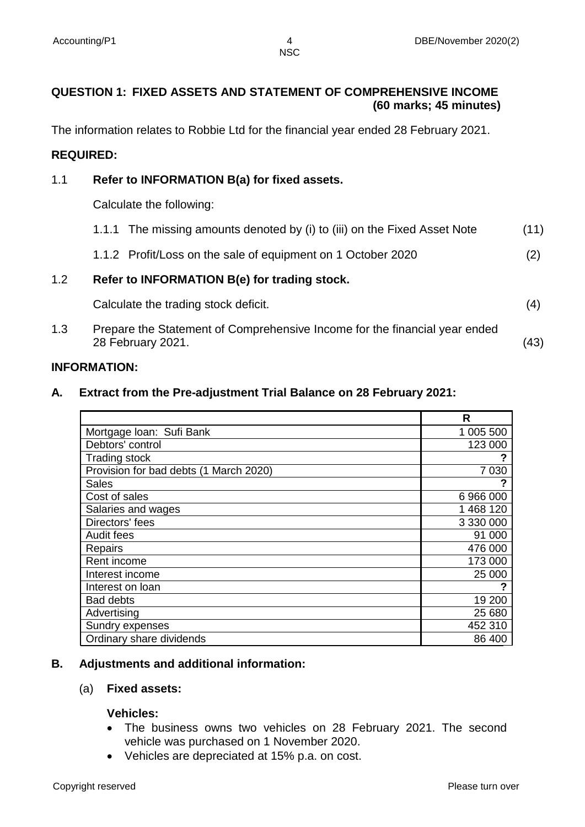# **QUESTION 1: FIXED ASSETS AND STATEMENT OF COMPREHENSIVE INCOME (60 marks; 45 minutes)**

The information relates to Robbie Ltd for the financial year ended 28 February 2021.

#### **REQUIRED:**

#### 1.1 **Refer to INFORMATION B(a) for fixed assets.**

Calculate the following:

|     | Calculate the trading stock deficit.                                      | (4)  |
|-----|---------------------------------------------------------------------------|------|
| 1.2 | Refer to INFORMATION B(e) for trading stock.                              |      |
|     | 1.1.2 Profit/Loss on the sale of equipment on 1 October 2020              | (2)  |
|     | 1.1.1 The missing amounts denoted by (i) to (iii) on the Fixed Asset Note | (11) |

1.3 Prepare the Statement of Comprehensive Income for the financial year ended 28 February 2021. (43)

#### **INFORMATION:**

#### **A. Extract from the Pre-adjustment Trial Balance on 28 February 2021:**

|                                        | R         |
|----------------------------------------|-----------|
| Mortgage Ioan: Sufi Bank               | 1 005 500 |
| Debtors' control                       | 123 000   |
| <b>Trading stock</b>                   |           |
| Provision for bad debts (1 March 2020) | 7 0 30    |
| Sales                                  |           |
| Cost of sales                          | 6966000   |
| Salaries and wages                     | 1 468 120 |
| Directors' fees                        | 3 330 000 |
| Audit fees                             | 91 000    |
| Repairs                                | 476 000   |
| Rent income                            | 173 000   |
| Interest income                        | 25 000    |
| Interest on loan                       |           |
| <b>Bad debts</b>                       | 19 200    |
| Advertising                            | 25 680    |
| Sundry expenses                        | 452 310   |
| Ordinary share dividends               | 86 400    |

#### **B. Adjustments and additional information:**

#### (a) **Fixed assets:**

#### **Vehicles:**

- The business owns two vehicles on 28 February 2021. The second vehicle was purchased on 1 November 2020.
- Vehicles are depreciated at 15% p.a. on cost.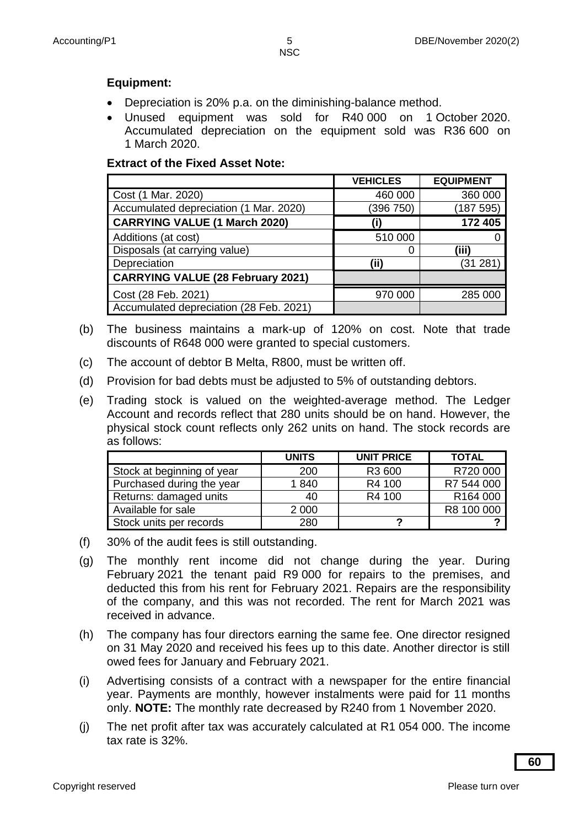# **Equipment:**

- Depreciation is 20% p.a. on the diminishing-balance method.
- Unused equipment was sold for R40 000 on 1 October 2020. Accumulated depreciation on the equipment sold was R36 600 on 1 March 2020.

# **Extract of the Fixed Asset Note:**

|                                          | <b>VEHICLES</b> | <b>EQUIPMENT</b> |
|------------------------------------------|-----------------|------------------|
| Cost (1 Mar. 2020)                       | 460 000         | 360 000          |
| Accumulated depreciation (1 Mar. 2020)   | (396 750)       | (187 595)        |
| <b>CARRYING VALUE (1 March 2020)</b>     | (i)             | 172 405          |
| Additions (at cost)                      | 510 000         |                  |
| Disposals (at carrying value)            |                 | (iii)            |
| Depreciation                             | (ii)            | (31 281)         |
| <b>CARRYING VALUE (28 February 2021)</b> |                 |                  |
| Cost (28 Feb. 2021)                      | 970 000         | 285 000          |
| Accumulated depreciation (28 Feb. 2021)  |                 |                  |

- (b) The business maintains a mark-up of 120% on cost. Note that trade discounts of R648 000 were granted to special customers.
- (c) The account of debtor B Melta, R800, must be written off.
- (d) Provision for bad debts must be adjusted to 5% of outstanding debtors.
- (e) Trading stock is valued on the weighted-average method. The Ledger Account and records reflect that 280 units should be on hand. However, the physical stock count reflects only 262 units on hand. The stock records are as follows:

|                            | <b>UNITS</b> | <b>UNIT PRICE</b> | <b>TOTAL</b> |
|----------------------------|--------------|-------------------|--------------|
| Stock at beginning of year | 200          | R3 600            | R720 000     |
| Purchased during the year  | 1840         | R4 100            | R7 544 000   |
| Returns: damaged units     | 40           | R4 100            | R164 000     |
| Available for sale         | 2 0 0 0      |                   | R8 100 000   |
| Stock units per records    | 280          | o                 |              |

- (f) 30% of the audit fees is still outstanding.
- (g) The monthly rent income did not change during the year. During February 2021 the tenant paid R9 000 for repairs to the premises, and deducted this from his rent for February 2021. Repairs are the responsibility of the company, and this was not recorded. The rent for March 2021 was received in advance.
- (h) The company has four directors earning the same fee. One director resigned on 31 May 2020 and received his fees up to this date. Another director is still owed fees for January and February 2021.
- (i) Advertising consists of a contract with a newspaper for the entire financial year. Payments are monthly, however instalments were paid for 11 months only. **NOTE:** The monthly rate decreased by R240 from 1 November 2020.
- (j) The net profit after tax was accurately calculated at R1 054 000. The income tax rate is 32%.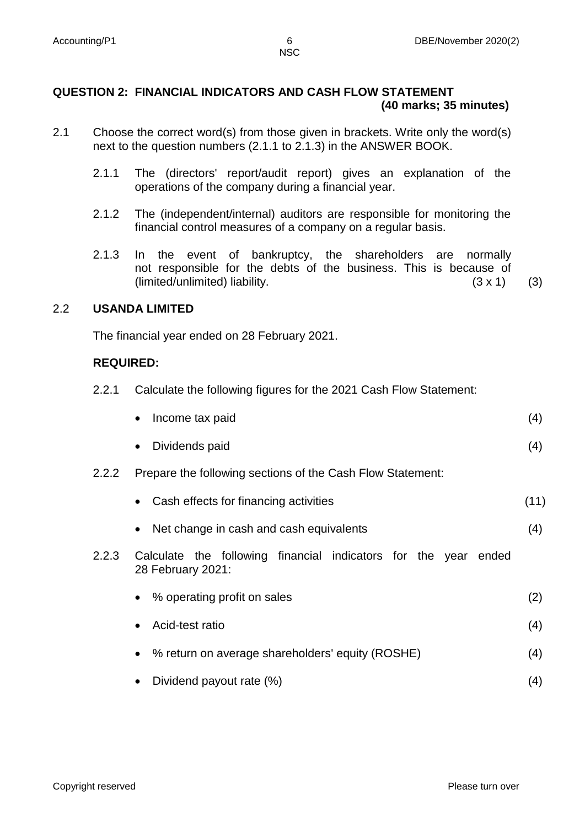#### **QUESTION 2: FINANCIAL INDICATORS AND CASH FLOW STATEMENT (40 marks; 35 minutes)**

- 2.1 Choose the correct word(s) from those given in brackets. Write only the word(s) next to the question numbers (2.1.1 to 2.1.3) in the ANSWER BOOK.
	- 2.1.1 The (directors' report/audit report) gives an explanation of the operations of the company during a financial year.
	- 2.1.2 The (independent/internal) auditors are responsible for monitoring the financial control measures of a company on a regular basis.
	- 2.1.3 In the event of bankruptcy, the shareholders are normally not responsible for the debts of the business. This is because of (limited/unlimited) liability.  $(3 \times 1)$  (3)

# 2.2 **USANDA LIMITED**

The financial year ended on 28 February 2021.

# **REQUIRED:**

2.2.1 Calculate the following figures for the 2021 Cash Flow Statement:

| • Income tax paid | (4) |
|-------------------|-----|
| • Dividends paid  | (4) |

- 2.2.2 Prepare the following sections of the Cash Flow Statement:
	- Cash effects for financing activities (11)
	- Net change in cash and cash equivalents (4)
- 2.2.3 Calculate the following financial indicators for the year ended 28 February 2021:
	- % operating profit on sales (2)
	- Acid-test ratio (4)
	- % return on average shareholders' equity (ROSHE) (4)
	- Dividend payout rate  $(\%)$  (4)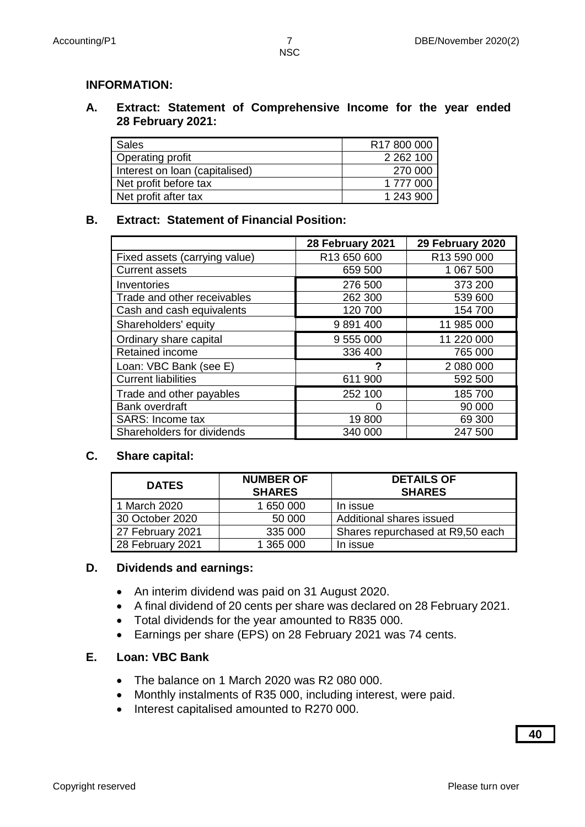#### **INFORMATION:**

#### **A. Extract: Statement of Comprehensive Income for the year ended 28 February 2021:**

| <b>Sales</b>                   | R17 800 000   |
|--------------------------------|---------------|
| Operating profit               | 2 2 6 2 1 0 0 |
| Interest on loan (capitalised) | 270 000       |
| Net profit before tax          | 1 777 000     |
| Net profit after tax           | 1 243 900     |

#### **B. Extract: Statement of Financial Position:**

|                               | 28 February 2021        | 29 February 2020 |
|-------------------------------|-------------------------|------------------|
| Fixed assets (carrying value) | R <sub>13</sub> 650 600 | R13 590 000      |
| <b>Current assets</b>         | 659 500                 | 1 067 500        |
| Inventories                   | 276 500                 | 373 200          |
| Trade and other receivables   | 262 300                 | 539 600          |
| Cash and cash equivalents     | 120 700                 | 154 700          |
| Shareholders' equity          | 9891400                 | 11 985 000       |
| Ordinary share capital        | 9 555 000               | 11 220 000       |
| <b>Retained income</b>        | 336 400                 | 765 000          |
| Loan: VBC Bank (see E)        |                         | 2 080 000        |
| <b>Current liabilities</b>    | 611 900                 | 592 500          |
| Trade and other payables      | 252 100                 | 185 700          |
| <b>Bank overdraft</b>         |                         | 90 000           |
| <b>SARS: Income tax</b>       | 19800                   | 69 300           |
| Shareholders for dividends    | 340 000                 | 247 500          |

#### **C. Share capital:**

| <b>DATES</b>     | <b>NUMBER OF</b><br><b>SHARES</b> | <b>DETAILS OF</b><br><b>SHARES</b> |
|------------------|-----------------------------------|------------------------------------|
| 1 March 2020     | 1 650 000                         | In issue                           |
| 30 October 2020  | 50 000                            | Additional shares issued           |
| 27 February 2021 | 335 000                           | Shares repurchased at R9,50 each   |
| 28 February 2021 | 1 365 000                         | In issue                           |

#### **D. Dividends and earnings:**

- An interim dividend was paid on 31 August 2020.
- A final dividend of 20 cents per share was declared on 28 February 2021.
- Total dividends for the year amounted to R835 000.
- Earnings per share (EPS) on 28 February 2021 was 74 cents.

#### **E. Loan: VBC Bank**

- The balance on 1 March 2020 was R2 080 000.
- Monthly instalments of R35 000, including interest, were paid.
- Interest capitalised amounted to R270 000.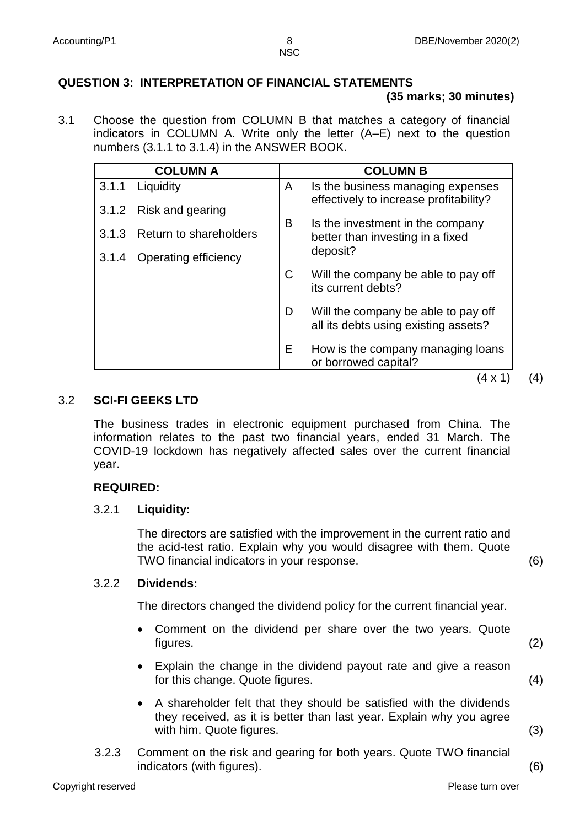# **QUESTION 3: INTERPRETATION OF FINANCIAL STATEMENTS**

### **(35 marks; 30 minutes)**

3.1 Choose the question from COLUMN B that matches a category of financial indicators in COLUMN A. Write only the letter (A–E) next to the question numbers (3.1.1 to 3.1.4) in the ANSWER BOOK.

|       | <b>COLUMN A</b>        | <b>COLUMN B</b> |                                                                             |  |
|-------|------------------------|-----------------|-----------------------------------------------------------------------------|--|
| 3.1.1 | Liquidity              | A               | Is the business managing expenses                                           |  |
| 3.1.2 | Risk and gearing       |                 | effectively to increase profitability?                                      |  |
| 3.1.3 | Return to shareholders | B               | Is the investment in the company<br>better than investing in a fixed        |  |
| 3.1.4 | Operating efficiency   |                 | deposit?                                                                    |  |
|       |                        | С               | Will the company be able to pay off<br>its current debts?                   |  |
|       |                        | D               | Will the company be able to pay off<br>all its debts using existing assets? |  |
|       |                        | Е               | How is the company managing loans<br>or borrowed capital?                   |  |

#### 3.2 **SCI-FI GEEKS LTD**

The business trades in electronic equipment purchased from China. The information relates to the past two financial years, ended 31 March. The COVID-19 lockdown has negatively affected sales over the current financial year.

# **REQUIRED:**

#### 3.2.1 **Liquidity:**

The directors are satisfied with the improvement in the current ratio and the acid-test ratio. Explain why you would disagree with them. Quote TWO financial indicators in your response. (6)

# 3.2.2 **Dividends:**

The directors changed the dividend policy for the current financial year.

- Comment on the dividend per share over the two years. Quote figures. (2)
- Explain the change in the dividend payout rate and give a reason for this change. Quote figures. (4)
- A shareholder felt that they should be satisfied with the dividends they received, as it is better than last year. Explain why you agree with him. Quote figures. (3)
	-
- 3.2.3 Comment on the risk and gearing for both years. Quote TWO financial indicators (with figures). (6)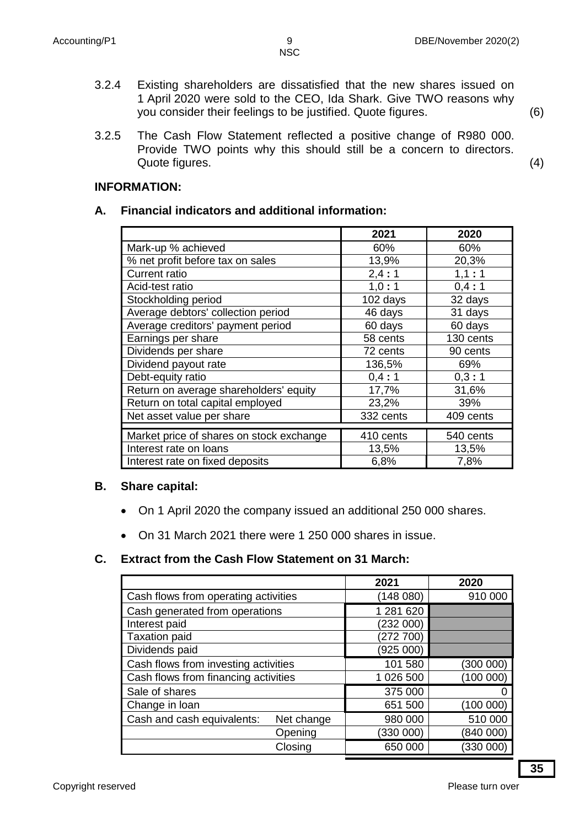3.2.4 Existing shareholders are dissatisfied that the new shares issued on 1 April 2020 were sold to the CEO, Ida Shark. Give TWO reasons why you consider their feelings to be justified. Quote figures. (6)

3.2.5 The Cash Flow Statement reflected a positive change of R980 000. Provide TWO points why this should still be a concern to directors. Quote figures. (4)

#### **INFORMATION:**

#### **A. Financial indicators and additional information:**

|                                          | 2021      | 2020      |
|------------------------------------------|-----------|-----------|
| Mark-up % achieved                       | 60%       | 60%       |
| % net profit before tax on sales         | 13,9%     | 20,3%     |
| <b>Current ratio</b>                     | 2,4:1     | 1,1:1     |
| Acid-test ratio                          | 1,0:1     | 0,4:1     |
| Stockholding period                      | 102 days  | 32 days   |
| Average debtors' collection period       | 46 days   | 31 days   |
| Average creditors' payment period        | 60 days   | 60 days   |
| Earnings per share                       | 58 cents  | 130 cents |
| Dividends per share                      | 72 cents  | 90 cents  |
| Dividend payout rate                     | 136,5%    | 69%       |
| Debt-equity ratio                        | 0,4:1     | 0,3:1     |
| Return on average shareholders' equity   | 17,7%     | 31,6%     |
| Return on total capital employed         | 23,2%     | 39%       |
| Net asset value per share                | 332 cents | 409 cents |
|                                          |           |           |
| Market price of shares on stock exchange | 410 cents | 540 cents |
| Interest rate on loans                   | 13,5%     | 13,5%     |
| Interest rate on fixed deposits          | 6,8%      | 7,8%      |

#### **B. Share capital:**

- On 1 April 2020 the company issued an additional 250 000 shares.
- On 31 March 2021 there were 1 250 000 shares in issue.

# **C. Extract from the Cash Flow Statement on 31 March:**

|                                      |            | 2021      | 2020      |
|--------------------------------------|------------|-----------|-----------|
| Cash flows from operating activities |            | (148080)  | 910 000   |
| Cash generated from operations       |            | 1 281 620 |           |
| Interest paid                        |            | (232 000) |           |
| <b>Taxation paid</b>                 |            | (272 700) |           |
| Dividends paid                       |            | (925 000) |           |
| Cash flows from investing activities |            | 101 580   | (300 000) |
| Cash flows from financing activities |            | 1 026 500 | (100000)  |
| Sale of shares                       |            | 375 000   |           |
| Change in loan                       |            | 651 500   | (100 000) |
| Cash and cash equivalents:           | Net change | 980 000   | 510 000   |
|                                      | Opening    | (330 000) | (840 000) |
|                                      | Closing    | 650 000   | (330 000) |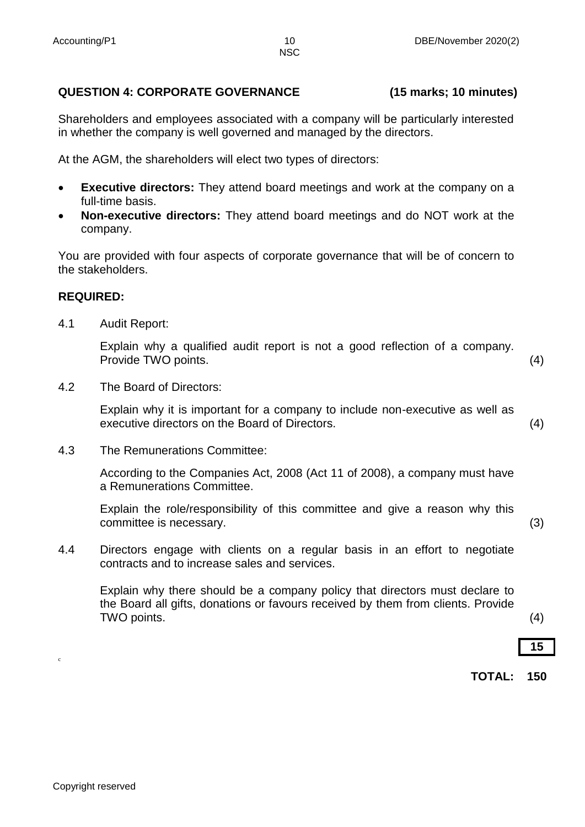# **QUESTION 4: CORPORATE GOVERNANCE (15 marks; 10 minutes)**

Shareholders and employees associated with a company will be particularly interested in whether the company is well governed and managed by the directors.

At the AGM, the shareholders will elect two types of directors:

- **Executive directors:** They attend board meetings and work at the company on a full-time basis.
- **Non-executive directors:** They attend board meetings and do NOT work at the company.

You are provided with four aspects of corporate governance that will be of concern to the stakeholders.

#### **REQUIRED:**

4.1 Audit Report:

Explain why a qualified audit report is not a good reflection of a company. Provide TWO points. (4)

4.2 The Board of Directors:

Explain why it is important for a company to include non-executive as well as executive directors on the Board of Directors. (4)

4.3 The Remunerations Committee:

According to the Companies Act, 2008 (Act 11 of 2008), a company must have a Remunerations Committee.

Explain the role/responsibility of this committee and give a reason why this committee is necessary. (3)

4.4 Directors engage with clients on a regular basis in an effort to negotiate contracts and to increase sales and services.

Explain why there should be a company policy that directors must declare to the Board all gifts, donations or favours received by them from clients. Provide TWO points. (4)

# **15**

**TOTAL: 150**

c